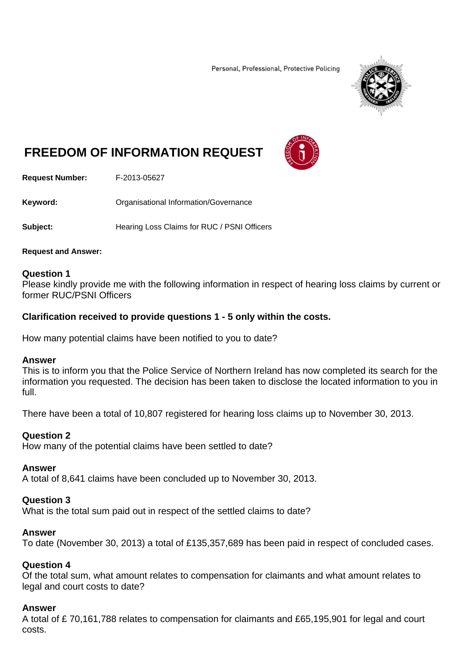Personal, Professional, Protective Policing



# **FREEDOM OF INFORMATION REQUEST**



**Request Number:** F-2013-05627

**Keyword:** Organisational Information/Governance

**Subject:** Hearing Loss Claims for RUC / PSNI Officers

#### **Request and Answer:**

#### **Question 1**

Please kindly provide me with the following information in respect of hearing loss claims by current or former RUC/PSNI Officers

## **Clarification received to provide questions 1 - 5 only within the costs.**

How many potential claims have been notified to you to date?

#### **Answer**

This is to inform you that the Police Service of Northern Ireland has now completed its search for the information you requested. The decision has been taken to disclose the located information to you in full.

There have been a total of 10,807 registered for hearing loss claims up to November 30, 2013.

## **Question 2**

How many of the potential claims have been settled to date?

## **Answer**

A total of 8,641 claims have been concluded up to November 30, 2013.

## **Question 3**

What is the total sum paid out in respect of the settled claims to date?

## **Answer**

To date (November 30, 2013) a total of £135,357,689 has been paid in respect of concluded cases.

## **Question 4**

Of the total sum, what amount relates to compensation for claimants and what amount relates to legal and court costs to date?

## **Answer**

A total of £ 70,161,788 relates to compensation for claimants and £65,195,901 for legal and court costs.